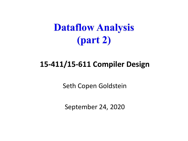## **Dataflow Analysis (part 2)**

#### **15-411/15-611 Compiler Design**

Seth Copen Goldstein

September 24, 2020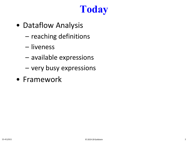# **Today**

- Dataflow Analysis
	- reaching definitions
	- liveness
	- available expressions
	- very busy expressions
- Framework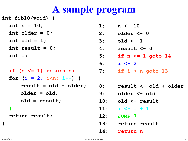#### **A sample program**

**int fib10(void) {**

- **int n = 10;**
- **int older = 0;**
- **int old = 1;**
- **int result = 0;**
- **int i;**

**if (n <= 1) return n; for (i = 2; i<n; i++) { result = old + older; older = old; old = result; }**

**return result;**

- **1: n <- 10**
- **2: older <- 0**
- **3: old <- 1**
- **4: result <- 0**
- **5: if n <= 1 goto 14**
- **6: i <- 2**
- **7: if i > n goto 13**
- **8: result <- old + older**
	- **9: older <- old**
	- **10: old <- result**
	- **11: i <- i + 1**
	- **12: JUMP 7**
	- **13: return result**
	- **14: return n**

**}**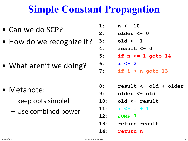### **Simple Constant Propagation**

- Can we do SCP?
- How do we recognize it?

• What aren't we doing?

- Metanote:
	- keep opts simple!
	- Use combined power
- **1: n <- 10**
- **2: older <- 0**
- **3: old <- 1**
- **4: result <- 0**
- **5: if n <= 1 goto 14**
- **6: i <- 2**
- **7: if i > n goto 13**
- **8: result <- old + older**
- **9: older <- old**
- **10: old <- result**
- **11: i <- i + 1**
- **12: JUMP 7**
- **13: return result**
- **14: return n**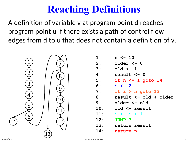## **Reaching Definitions**

A definition of variable v at program point d reaches program point u if there exists a path of control flow edges from d to u that does not contain a definition of v.



| 1:  | $n \le -10$           |
|-----|-----------------------|
| 2:  | older <- 0            |
| 3:  | old $\leftarrow$ 1    |
| 4 : | result $\leq -0$      |
| 5:  | if $n \leq 1$ goto 14 |
| 6:  | $i \leftarrow 2$      |
| 7:  | if $i > n$ goto 13    |
| 8:  | result <- old + older |
| 9:  | older <- old          |
| 10: | old <- result         |
| 11: | $i \leftarrow i + 1$  |
| 12: | <b>JUMP 7</b>         |
| 13: | return result         |
| 14: | return n              |
|     |                       |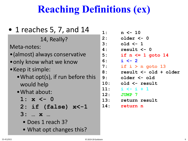## **Reaching Definitions (ex)**

| • 1 reaches 5, 7, and 14          |                          |
|-----------------------------------|--------------------------|
| 14, Really?                       |                          |
| Meta-notes:                       | Ļ                        |
| • (almost) always conservative    | $\overline{\phantom{a}}$ |
| • only know what we know          | $\epsilon$               |
| • Keep it simple:                 | ر<br>ع                   |
| • What opt(s), if run before this |                          |
| would help                        | S<br>1<br>1<br>1<br>1    |
| · What about:                     |                          |
| $1: x < -0$                       |                          |
| $2:$ if (false) $x<-1$            |                          |
| 3:  x                             |                          |
| $\bullet$ Doos 1 roach 22         |                          |

- Does 1 reach 3?
- What opt changes this?

| 1:             | $n \le -10$           |
|----------------|-----------------------|
| $\mathbf{2}$ : | older <- 0            |
| 3:             | old $\leftarrow$ 1    |
| 4 :            | result <- 0           |
| 5:             | if $n \leq 1$ goto 14 |
| 6:             | $i \leftarrow 2$      |
| 7:             | if $i > n$ goto 13    |
| 8:             | result <- old + older |
| 9:             | older <- old          |
| 10:            | old <- result         |
| 11:            | $i \leftarrow i + 1$  |
| 12:            | JUMP 7                |
| 13:            | return result         |
| 14:            | return n              |
|                |                       |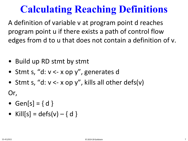## **Calculating Reaching Definitions**

A definition of variable v at program point d reaches program point u if there exists a path of control flow edges from d to u that does not contain a definition of v.

- Build up RD stmt by stmt
- Stmt s, "d: v <- x op y", generates d
- Stmt s, "d:  $v < x$  op y", kills all other defs(v)

Or,

- Gen[s] =  $\{ d \}$
- Kill $[s] = \text{defs}(v) \{ d \}$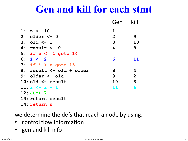#### **Gen and kill for each stmt**

|                          | Gen            | kill           |
|--------------------------|----------------|----------------|
| 1: $n \le -10$           | $\mathbf 1$    |                |
| $2:$ older $<-0$         | $\overline{2}$ | 9              |
| $3: old < -1$            | 3              | 10             |
| $4: result < -0$         | 4              | 8              |
| 5: if $n \leq 1$ goto 14 |                |                |
| 6: $i \le -2$            | 6              | 11             |
| 7: if $i > n$ goto 13    |                |                |
| 8: result <- old + older | 8              | 4              |
| $9:$ older $\leq$ - old  | 9              | $\overline{2}$ |
| $10:$ old $\leq$ result  | 10             | $\overline{3}$ |
| $11: i \le -i + 1$       | 11             | 6              |
| $12:JUMP$ 7              |                |                |
| 13: return result        |                |                |
| 14: return<br>n          |                |                |

we determine the defs that reach a node by using:

- control flow information
- gen and kill info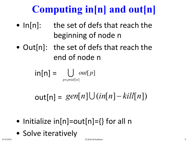# **Computing in[n] and out[n]**

- In[n]: the set of defs that reach the beginning of node n
- Out[n]: the set of defs that reach the end of node n

$$
\mathsf{in}[n] = \bigcup_{p \in \mathit{pred}[n]} \mathit{out}[p]
$$

 $out[n] = gen[n] \cup (in[n]-kill[n])$ 

- Initialize  $in[n]=out[n]=\{\}$  for all n
- Solve iteratively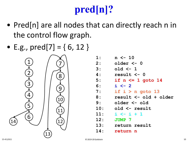# **pred[n]?**

- Pred[n] are all nodes that can directly reach n in the control flow graph.
- E.g.,  $pred[7] = \{ 6, 12 \}$



| 1:             | $n \le -10$           |
|----------------|-----------------------|
| $\mathbf{2}$ : | older <- 0            |
| 3:             | old $\leftarrow$ 1    |
| 4 :            | result <- 0           |
| 5:             | if $n \leq 1$ goto 14 |
| 6:             | $i \leftarrow 2$      |
| 7:             | if $i > n$ goto 13    |
| 8:             | result <- old + older |
| 9:             | older <- old          |
| 10:            | old <- result         |
| 11:            | $i \leq i + 1$        |
| 12:            | JUMP 7                |
| 13:            | return result         |
| 14:            | return n              |
|                |                       |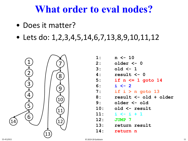#### **What order to eval nodes?**

- Does it matter?
- Lets do:  $1, 2, 3, 4, 5, 14, 6, 7, 13, 8, 9, 10, 11, 12$



| 1:             | $n \le -10$           |
|----------------|-----------------------|
| $\mathbf{2}$ : | older <- 0            |
| 3:             | old $\leftarrow$ 1    |
| 4 :            | result $\leq -0$      |
| 5:             | if $n \leq 1$ goto 14 |
| 6:             | $i \leftarrow 2$      |
| 7:             | if $i > n$ goto 13    |
| 8 :            | result <- old + older |
| 9:             | older <- old          |
| 10:            | old <- result         |
| 11:            | $i \leftarrow i + 1$  |
| 12:            | <b>JUMP 7</b>         |
| 13:            | return result         |
| 14:            | return n              |
|                |                       |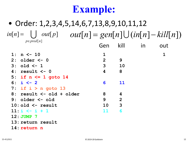## **Example:**

#### • Order: 1,2,3,4,5,14,6,7,13,8,9,10,11,12  $\text{inf}[n] = \bigcup \text{ out}[p] \quad \text{ out}[n] = \text{gen}[n] \bigcup (\text{in}[n] - \text{kill}[n])$ *p*∈ *pred*[n] **1: n <- 10 1 1 2: older <- 0 2 9 1 1,2 3: old <- 1 3 10 1,2 1,2,3 4: result <- 0 4 8 5: if n <= 1 goto 14 6: i <- 2 6 11 7: if i > n goto 13 8: result <- old + older 8 4 9: older <- old 9 2 10: old <- result 10 3 11: i <- i + 1 11 6** Gen kill in out

- **12: JUMP 7**
- **13: return result**
- **14: return n**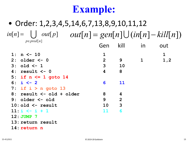## **Example:**

#### • Order: 1,2,3,4,5,14,6,7,13,8,9,10,11,12  $\text{inf}[n] = \bigcup \text{ out}[p] \quad \text{ out}[n] = \text{gen}[n] \bigcup (\text{in}[n] - \text{kill}[n])$ *p*∈ *pred*[n] **1: n <- 10 1 1 2: older <- 0 2 9 1 1,2 3: old <- 1 3 10 1,2 1,2,3 4: result <- 0 4 8 5: if n <= 1 goto 14 6: i <- 2 6 11 7: if i > n goto 13 8: result <- old + older 8 4 9: older <- old 9 2 10: old <- result 10 3 11: i <- i + 1 11 6** Gen kill in out

- **12: JUMP 7**
- **13: return result**
- **14: return n**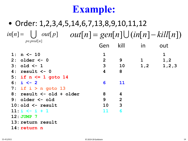## **Example:**

#### • Order: 1,2,3,4,5,14,6,7,13,8,9,10,11,12  $\text{inf}[n] = \bigcup \text{ out}[p] \quad \text{ out}[n] = \text{gen}[n] \bigcup (\text{in}[n] - \text{kill}[n])$ *p*∈ *pred*[n] **1: n <- 10 1 1 2: older <- 0 2 9 1 1,2 3: old <- 1 3 10 1,2 1,2,3 4: result <- 0 4 8 5: if n <= 1 goto 14 6: i <- 2 6 11 7: if i > n goto 13 8: result <- old + older 8 4 9: older <- old 9 2 10: old <- result 10 3 11: i <- i + 1 11 6 12: JUMP 7** Gen kill in out

- **13: return result**
- **14: return n**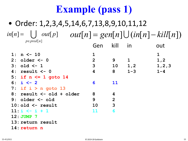#### • Order: 1,2,3,4,5,14,6,7,13,8,9,10,11,12 **1: n <- 10 1 1 2: older <- 0 2 9 1 1,2 3: old <- 1 3 10 1,2 1,2,3 4: result <- 0 4 8 1-3 1-4 5: if n <= 1 goto 14 1-4 1-4 6: i <- 2 6 11 1-4 1-4,6 7: if i > n goto 13 1-4,6 1-4,6 8: result <- old + older 8 4 1-4,6 1-3,6,8 9: older <- old 9 2 1-3,6,8 1,3,6,8,9** Gen kill in out  $\text{inf}[n] = \bigcup \text{ out}[p] \quad \text{ out}[n] = \text{gen}[n] \bigcup (\text{in}[n] - \text{kill}[n])$ *p*∈ *pred*[n]

- **10: old <- result 10 3 1,3,6,8,9 1,6,8-10**
- **11:**  $i \leq i + 1$  **11 6**
- **12:** JUMP 7
- **13: return result 1-4,6 1-4,6**
- **14: return n 1-4 1-4**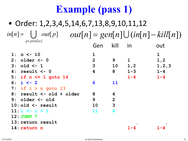#### • Order: 1,2,3,4,5,14,6,7,13,8,9,10,11,12 **1: n <- 10 1 1 2: older** <- **0 2 9 1 1**,2<br> **3: old** <- **1 3 10 1**,2 **1**,2,3 **3: old <- 1 3 10 1,2 1,2,3 4: result <- 0 4 8 1-3 1-4 5: if n <= 1 goto 14 1-4 1-4 6: i <- 2 6 11 1-4 1-4,6 7: if i > n goto 13 1-4,6 1-4,6 8: result <- old + older 8 4 1-4,6 1-3,6,8 9: older <- old 9 2 1-3,6,8 1,3,6,8,9 10: old <- result 10 3 1,3,6,8,9 1,6,8-10 11: i**  $\leftarrow$  **i** + 1 **11 6** Gen kill in out  $\text{inf}[n] = \bigcup \text{ out}[p] \quad \text{ out}[n] = \text{gen}[n] \bigcup (\text{in}[n] - \text{kill}[n])$ *p*∈ *pred*[n]

- **12:** JUMP 7
- **13: return result 1-4,6 1-4,6**
- **14: return n 1-4 1-4**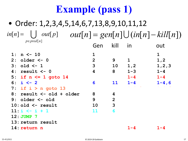#### • Order: 1,2,3,4,5,14,6,7,13,8,9,10,11,12 **1: n <- 10 1 1 2: older <- 0 2 9 1 1,2 3: old <- 1 3 10 1,2 1,2,3 4: result <- 0 4 8 1-3 1-4 5: if n <= 1 goto 14 1-4 1-4 6: i <- 2 6 11 1-4 1-4,6 7: if i > n goto 13 1-4,6 1-4,6 8: result <- old + older 8 4 1-4,6 1-3,6,8 9: older <- old 9 2 1-3,6,8 1,3,6,8,9** Gen kill in out  $\text{inf}[n] = \bigcup \text{ out}[p] \quad \text{ out}[n] = \text{gen}[n] \bigcup (\text{in}[n] - \text{kill}[n])$ *p*∈ *pred*[n]

- **10: old <- result 10 3 1,3,6,8,9 1,6,8-10**
- **11:**  $\dot{x}$  **i** + 1 **11 6**
- **12:** JUMP 7
- **13: return result 1-4,6 1-4,6**
- 

**14: return n 1-4 1-4**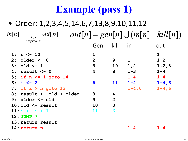#### • Order: 1,2,3,4,5,14,6,7,13,8,9,10,11,12 **1: n <- 10 1 1 2: older <- 0 2 9 1 1,2 3: old <- 1 3 10 1,2 1,2,3 4: result <- 0 4 8 1-3 1-4 5: if n <= 1 goto 14 1-4 1-4 6: i <- 2 6 11 1-4 1-4,6 7: if i > n goto 13 1-4,6 1-4,6 8: result <- old + older 8 4 1-4,6 1-3,6,8 9: older <- old 9 2 1-3,6,8 1,3,6,8,9 10: old <- result 10 3 1,3,6,8,9 1,6,8-10** Gen kill in out  $\text{inf}[n] = \bigcup \text{ out}[p] \quad \text{ out}[n] = \text{gen}[n] \bigcup (\text{in}[n] - \text{kill}[n])$ *p*∈ *pred*[n]

**11: i**  $\leftarrow$  **i** + 1 **11 6 12:** JUMP 7 **13: return result 1-4,6 1-4,6 14: return n 1-4 1-4**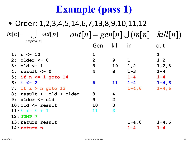#### • Order: 1,2,3,4,5,14,6,7,13,8,9,10,11,12 **1: n <- 10 1 1 2: older <- 0 2 9 1 1,2 3: old <- 1 3 10 1,2 1,2,3 4: result <- 0 4 8 1-3 1-4 5: if n <= 1 goto 14 1-4 1-4 6: i <- 2 6 11 1-4 1-4,6 7: if i > n goto 13 1-4,6 1-4,6 8: result <- old + older 8 4 1-4,6 1-3,6,8 9: older <- old 9 2 1-3,6,8 1,3,6,8,9 10: old <- result 10 3 1,3,6,8,9 1,6,8-10 11:**  $i \leq i + 1$  **11 6** Gen kill in out  $\text{inf}[n] = \bigcup \text{ out}[p] \quad \text{ out}[n] = \text{gen}[n] \bigcup (\text{in}[n] - \text{kill}[n])$ *p*∈ *pred*[n]

**12:** JUMP 7 **13: return result 1-4,6 1-4,6 14: return n 1-4 1-4**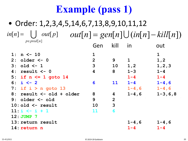#### • Order: 1,2,3,4,5,14,6,7,13,8,9,10,11,12 **1: n <- 10 1 1 2: older <- 0 2 9 1 1,2 3: old <- 1 3 10 1,2 1,2,3 4: result <- 0 4 8 1-3 1-4 5: if n <= 1 goto 14 1-4 1-4 6: i <- 2 6 11 1-4 1-4,6 7: if i > n goto 13 1-4,6 1-4,6 8: result <- old + older 8 4 1-4,6 1-3,6,8 9: older <- old 9 2 1-3,6,8 1,3,6,8,9 10: old <- result 10 3 1,3,6,8,9 1,6,8-10 11:**  $i \leq i + 1$  **11 6** Gen kill in out  $\text{inf}[n] = \bigcup \text{ out}[p] \quad \text{ out}[n] = \text{gen}[n] \bigcup (\text{in}[n] - \text{kill}[n])$ *p*∈ *pred*[n]

- **12:** JUMP 7
- **13: return result 1-4,6 1-4,6**
- **14: return n 1-4 1-4**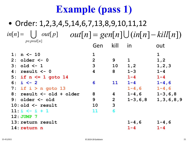#### • Order: 1,2,3,4,5,14,6,7,13,8,9,10,11,12 **1: n <- 10 1 1 2: older <- 0 2 9 1 1,2 3: old <- 1 3 10 1,2 1,2,3 4: result <- 0 4 8 1-3 1-4 5: if n <= 1 goto 14 1-4 1-4 6: i <- 2 6 11 1-4 1-4,6 7: if i > n goto 13 1-4,6 1-4,6 8: result <- old + older 8 4 1-4,6 1-3,6,8 9: older <- old 9 2 1-3,6,8 1,3,6,8,9** Gen kill in out  $in[n] =$   $\bigcup$   $out[p]$ *p*∈ *pred*[n]  $out[p]$   $out[n] = gen[n] \cup (in[n] - kill[n])$

- **10: old <- result 10 3 1,3,6,8,9 1,6,8-10**
- **11: i**  $\leftarrow$  **i** + 1 **11 6**
- **12:** JUMP 7
- **13: return result 1-4,6 1-4,6**
- **14: return n 1-4 1-4**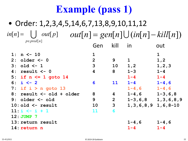#### • Order: 1,2,3,4,5,14,6,7,13,8,9,10,11,12 **1: n <- 10 1 1 2: older <- 0 2 9 1 1,2 3: old <- 1 3 10 1,2 1,2,3 4: result <- 0 4 8 1-3 1-4 5: if n <= 1 goto 14 1-4 1-4 6: i <- 2 6 11 1-4 1-4,6 7: if i > n goto 13 1-4,6 1-4,6 8: result <- old + older 8 4 1-4,6 1-3,6,8** Gen kill in out  $in[n] =$   $\bigcup$   $out[p]$ *p*∈ *pred*[n]  $out[p]$   $out[n] = gen[n] \cup (in[n] - kill[n])$

**9: older <- old 9 2 1-3,6,8 1,3,6,8,9 10: old <- result 10 3 1,3,6,8,9 1,6,8-10 11: i**  $\leftarrow$  **i** + 1 **11 6 12:** JUMP 7 **13: return result 1-4,6 1-4,6 14: return n 1-4 1-4**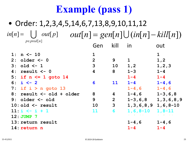#### • Order: 1,2,3,4,5,14,6,7,13,8,9,10,11,12 **1: n <- 10 1 1 2: older <- 0 2 9 1 1,2 3: old <- 1 3 10 1,2 1,2,3 4: result <- 0 4 8 1-3 1-4 5: if n <= 1 goto 14 1-4 1-4 6: i <- 2 6 11 1-4 1-4,6 7: if i > n goto 13 1-4,6 1-4,6 8: result <- old + older 8 4 1-4,6 1-3,6,8 9: older <- old 9 2 1-3,6,8 1,3,6,8,9 10: old <- result 10 3 1,3,6,8,9 1,6,8-10 11: i <- i + 1 11 6 1,6,8-10 1,8-11 12:** JUMP 7 **13: return result 1-4,6 1-4,6** Gen kill in out  $in[n] =$   $\bigcup$   $out[p]$ *p*∈ *pred*[n]  $out[p]$   $out[n] = gen[n] \cup (in[n] - kill[n])$

**14: return n 1-4 1-4**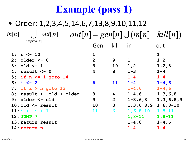#### • Order: 1,2,3,4,5,14,6,7,13,8,9,10,11,12 **1: n <- 10 1 1 2: older <- 0 2 9 1 1,2 3: old <- 1 3 10 1,2 1,2,3 4: result <- 0 4 8 1-3 1-4 5: if n <= 1 goto 14 1-4 1-4 6: i <- 2 6 11 1-4 1-4,6 7: if i > n goto 13 1-4,6 1-4,6 8: result <- old + older 8 4 1-4,6 1-3,6,8 9: older <- old 9 2 1-3,6,8 1,3,6,8,9 10: old <- result 10 3 1,3,6,8,9 1,6,8-10 11: i <- i + 1 11 6 1,6,8-10 1,8-11 12: JUMP 7 1,8-11 1,8-11** Gen kill in out  $\text{inf}[n] = \bigcup \text{ out}[p] \quad \text{out}[n] = \text{gen}[n] \bigcup (\text{in}[n] - \text{kill}[n])$ *p*∈ *pred*[n]  $\bigcup$

- **13: return result 1-4,6 1-4,6**
- **14: return n 1-4 1-4**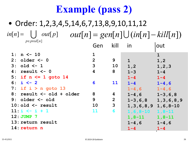|                          | Gen                     | kill           | in                         | out                       |
|--------------------------|-------------------------|----------------|----------------------------|---------------------------|
| $1: n \le -10$           | $\mathbf 1$             |                |                            | $\mathbf{1}$              |
| $2:$ older $<-0$         | 2 <sup>1</sup>          | 9              | $\mathbf{1}$               | 1,2                       |
| $3: old < -1$            | $\mathbf{3}$            | 10             | 1,2                        | 1, 2, 3                   |
| $4: result < -0$         | $\overline{\mathbf{4}}$ | 8              | $1 - 3$                    | $1 - 4$                   |
| 5: if $n \leq 1$ goto 14 |                         |                | $1 - 4$                    | $1 - 4$                   |
| 6: $i \le -2$            | 6                       | 11             | $1 - 4$                    | $1 - 4, 6$                |
| 7: if $i > n$ goto 13    |                         |                | $1 - 4, 6$                 | $1 - 4, 6$                |
| 8: result <- old + older | 8                       | 4              | $1 - 4, 6$                 | $1 - 3, 6, 8$             |
| $9:$ older $\leq$ old    | 9                       | $\overline{2}$ |                            | $1-3, 6, 8$ 1, 3, 6, 8, 9 |
| $10:$ old $\leq$ result  | 10                      | $\mathbf{3}$   | $1, 3, 6, 8, 9$ 1, 6, 8-10 |                           |
| $11: i \le -i + 1$       | <b>11</b>               | 6              | $1, 6, 8 - 10$             | $1, 8 - 11$               |
| $12:JUMP$ 7              |                         |                | $1,8-11$                   | $1,8-11$                  |
| 13: return result        |                         |                | $1 - 4, 6$                 | $1 - 4, 6$                |
| 14: return n             |                         |                | $1 - 4$                    | $1 - 4$                   |
|                          |                         |                |                            |                           |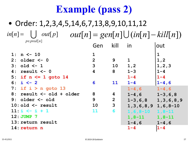|    | $1: n \le -10$           |                |                |                            | $\mathbf 1$   |
|----|--------------------------|----------------|----------------|----------------------------|---------------|
|    | $2:$ older $\leq -0$     | $\overline{2}$ | 9              | $\mathbf 1$                | 1, 2          |
|    | $3: old < -1$            | 3              | 10             | 1, 2                       | 1, 2, 3       |
| 4: | result <- 0              | 4              | 8              | $1 - 3$                    | $1 - 4$       |
|    | 5: if $n \leq 1$ goto 14 |                |                | $1 - 4$                    | $1 - 4$       |
|    | 6: $i \leftarrow 2$      | 6              | <b>11</b>      | $1 - 4$                    | $1 - 4, 6$    |
|    | 7: if $i > n$ goto 13    |                |                | $1 - 4, 6$                 | $1 - 4, 6$    |
|    | 8: result <- old + older | 8              | 4              | $1 - 4, 6$                 | $1 - 3, 6, 8$ |
|    | $9:$ older $\leq -$ old  | 9              | $\overline{2}$ | $1 - 3, 6, 8$              | 1, 3, 6, 8, 9 |
|    | $10:$ old $\leq$ result  | 10             | $\overline{3}$ | $1, 3, 6, 8, 9$ 1, 6, 8-10 |               |
|    | $11: i \le i + 1$        | 11             | 6              | $1, 6, 8 - 10$             | $1, 8 - 11$   |
|    | $12:JUMP$ 7              |                |                | $1, 8 - 11$                | $1, 8 - 11$   |
|    | 13: return result        |                |                | $1 - 4, 6$                 | $1 - 4, 6$    |
|    | 14: return n             |                |                | $1 - 4$                    | $1 - 4$       |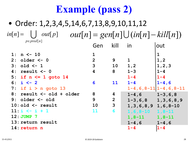|    | $1: n \le -10$           | $\mathbf{1}$   |                |                            |                               |
|----|--------------------------|----------------|----------------|----------------------------|-------------------------------|
|    | $2:$ older $\leq -0$     | $\overline{2}$ | 9              | $\mathbf 1$                | 1, 2                          |
|    | $3: old < -1$            | 3              | 10             | 1, 2                       | 1, 2, 3                       |
| 4: | result <- 0              | 4              | 8              | $1 - 3$                    | $1 - 4$                       |
|    | 5: if $n \leq 1$ goto 14 |                |                | $1 - 4$                    | $1 - 4$                       |
|    | 6: $i \le -2$            | 6              | 11             | $1 - 4$                    | $1 - 4, 6$                    |
|    | 7: if $i > n$ goto 13    |                |                |                            | $1-4, 6, 8-11$ $1-4, 6, 8-11$ |
|    | 8: result <- old + older | 8              | 4              | $1-4, 6$ $1-3, 6, 8$       |                               |
|    | $9:$ older $\leq -$ old  | 9              | $\overline{2}$ | $1-3, 6, 8$ 1, 3, 6, 8, 9  |                               |
|    | $10:$ old $\leq$ result  | 10             | $\mathbf{3}$   | $1, 3, 6, 8, 9$ 1, 6, 8-10 |                               |
|    | $11: i \le i + 1$        | 11             | 6              | $1, 6, 8 - 10$             | $1, 8-11$                     |
|    | 12: JUMP 7               |                |                | $1, 8 - 11$                | $1, 8 - 11$                   |
|    | 13: return result        |                |                | $1 - 4, 6$                 | $1 - 4, 6$                    |
|    | 14: return n             |                |                | $1 - 4$                    | $1 - 4$                       |
|    |                          |                |                |                            |                               |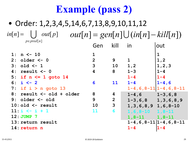|    | 1: $n \le -10$           | $\mathbf{1}$   |                |                            |                                 |
|----|--------------------------|----------------|----------------|----------------------------|---------------------------------|
|    | $2:$ older $\leq -0$     | $\overline{2}$ | 9              | $\mathbf 1$                | 1, 2                            |
|    | $3: old < -1$            | 3              | 10             | 1, 2                       | 1, 2, 3                         |
| 4: | result <- 0              | 4              | 8              | $1 - 3$                    | $1 - 4$                         |
|    | 5: if $n \leq 1$ goto 14 |                |                | $1 - 4$                    | $1 - 4$                         |
|    | 6: $i \le -2$            | 6              | <b>11</b>      | $1 - 4$                    | $1 - 4, 6$                      |
|    | 7: if $i > n$ goto 13    |                |                |                            | $1-4, 6, 8-11$ $1-4, 6, 8-11$   |
|    | 8: result <- old + older | 8              | 4              | $1-4, 6$ $1-3, 6, 8$       |                                 |
|    | $9:$ older $\leq -$ old  | 9              | $\overline{2}$ | $1-3, 6, 8$ 1, 3, 6, 8, 9  |                                 |
|    | $10:$ old $\leq$ result  | 10             | $\mathbf{3}$   | $1, 3, 6, 8, 9$ 1, 6, 8-10 |                                 |
|    | $11: i \le i + 1$        | 11             | 6              | $1, 6, 8 - 10$ 1, 8 - 11   |                                 |
|    | 12: JUMP 7               |                |                | $1,8-11$ $1,8-11$          |                                 |
|    | 13: return result        |                |                |                            | $1-4, 6, 8-11$   $1-4, 6, 8-11$ |
|    | 14: return n             |                |                | $1 - 4$                    | $1 - 4$                         |
|    |                          |                |                |                            |                                 |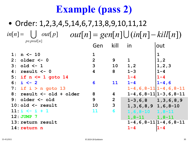|    | 1: $n \le -10$           | $\mathbf{1}$   |                |                            |                               |
|----|--------------------------|----------------|----------------|----------------------------|-------------------------------|
|    | $2:$ older $\leq -0$     | $\overline{2}$ | 9              | $\mathbf 1$                | 1, 2                          |
|    | $3: old < -1$            | 3              | 10             | 1, 2                       | 1, 2, 3                       |
| 4: | result $<-0$             | 4              | 8              | $1 - 3$                    | $1 - 4$                       |
|    | 5: if $n \le 1$ goto 14  |                |                | $1 - 4$                    | $1 - 4$                       |
|    | 6: $i \le -2$            | 6              | <b>11</b>      | $1 - 4$                    | $1 - 4, 6$                    |
|    | 7: if $i > n$ goto 13    |                |                |                            | $1-4, 6, 8-11$ $1-4, 6, 8-11$ |
|    | 8: result <- old + older | 8              | 4              |                            | $1-4, 6, 8-11$   1-3, 6, 8-11 |
|    | 9: older $\leq$ old      | 9              | $\overline{2}$ | $1-3, 6, 8$ 1, 3, 6, 8, 9  |                               |
|    | $10:$ old $\leq$ result  | 10             | 3              | $1, 3, 6, 8, 9$ 1, 6, 8-10 |                               |
|    | $11: i \le i + 1$        | 11             | 6              | $1, 6, 8 - 10$ 1, 8 - 11   |                               |
|    | 12: JUMP 7               |                |                | $1, 8-11$ $1, 8-11$        |                               |
|    | 13: return result        |                |                |                            | $1-4, 6, 8-11$ $1-4, 6, 8-11$ |
|    | 14: return n             |                |                | $1 - 4$                    | $1 - 4$                       |
|    |                          |                |                |                            |                               |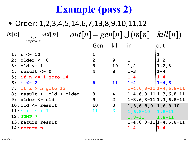|    | $1: n \le -10$           | $\mathbf{1}$   |                         |                            |                                 |
|----|--------------------------|----------------|-------------------------|----------------------------|---------------------------------|
|    | $2:$ older $\leq -0$     | $\overline{2}$ | 9                       | $\mathbf{1}$               | 1, 2                            |
|    | $3: old < -1$            | 3              | 10                      | 1, 2                       | 1, 2, 3                         |
| 4: | result <- 0              | 4              | 8                       | $1 - 3$                    | $1 - 4$                         |
|    | 5: if $n \le 1$ goto 14  |                |                         | $1 - 4$                    | $1 - 4$                         |
|    | 6: $i \le -2$            | 6              | <b>11</b>               | $1 - 4$                    | $1 - 4, 6$                      |
|    | 7: if $i > n$ goto 13    |                |                         |                            | $1-4, 6, 8-11$ $1-4, 6, 8-11$   |
|    | 8: result <- old + older | 8              | $\overline{\mathbf{4}}$ |                            | $1-4, 6, 8-11$   1-3, 6, 8-11   |
|    | $9:$ older $\leq$ old    | 9              | $\overline{2}$          |                            | $1-3, 6, 8-11 1, 3, 6, 8-11$    |
|    | $10:$ old $\leq$ result  | <b>10</b>      | 3                       | $1, 3, 6, 8, 9$ 1, 6, 8-10 |                                 |
|    | $11: i \le i + 1$        | 11             | 6                       | $1, 6, 8 - 10$ 1, 8 - 11   |                                 |
|    | $12:JUMP$ 7              |                |                         | $1,8-11$ $1,8-11$          |                                 |
|    | 13: return result        |                |                         |                            | $1-4, 6, 8-11$   $1-4, 6, 8-11$ |
|    | 14: return n             |                |                         | $1 - 4$                    | $1 - 4$                         |
|    |                          |                |                         |                            |                                 |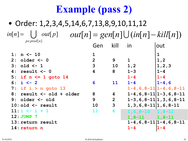|                   | 1: $n \le -10$           | $\mathbf{1}$   |                |                                |                               |
|-------------------|--------------------------|----------------|----------------|--------------------------------|-------------------------------|
|                   | $2:$ older $\leq -0$     | $\overline{2}$ | 9              | $\mathbf{1}$                   | 1, 2                          |
|                   | $3: old < -1$            | 3              | 10             | 1, 2                           | 1, 2, 3                       |
| 4:                | result $<-0$             | 4              | 8              | $1 - 3$                        | $1 - 4$                       |
|                   | 5: if $n \leq 1$ goto 14 |                |                | $1 - 4$                        | $1 - 4$                       |
|                   | 6: $i \le -2$            | 6              | <b>11</b>      | $1 - 4$                        | $1 - 4, 6$                    |
|                   | 7: if $i > n$ goto 13    |                |                |                                | $1-4, 6, 8-11$ $1-4, 6, 8-11$ |
| 8 :               | result <- old + older    | 8              | $\overline{4}$ |                                | $1-4, 6, 8-11$   1-3, 6, 8-11 |
|                   | $9:$ older $\leq$ old    | 9              | $\overline{2}$ |                                | $1-3, 6, 8-11 1, 3, 6, 8-11$  |
|                   | $10:$ old $\leq$ result  | <b>10</b>      | $\mathbf{3}$   | $1, 3, 6, 8 - 11 1, 6, 8 - 11$ |                               |
|                   | $11: i \le i + 1$        | 11             | 6              | $1, 6, 8 - 10$ $1, 8 - 11$     |                               |
| 12: JUMP 7        |                          |                |                | $1,8-11$ $1,8-11$              |                               |
| 13: return result |                          |                |                | $1-4, 6, 8-11$ $1-4, 6, 8-11$  |                               |
|                   | 14: return n             |                |                | $1 - 4$                        | $1 - 4$                       |
|                   |                          |                |                |                                |                               |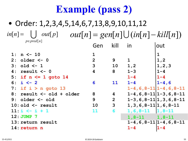|                                 | $1: n \le -10$           | $\mathbf{1}$   |                                 |                                |                               |
|---------------------------------|--------------------------|----------------|---------------------------------|--------------------------------|-------------------------------|
|                                 | $2:$ older $\leq -0$     | $\overline{2}$ | 9                               | $\mathbf 1$                    | 1, 2                          |
|                                 | $3: old < -1$            | 3              | 10                              | 1, 2                           | 1, 2, 3                       |
| 4 :                             | result $<-0$             | 4              | 8                               | $1 - 3$                        | $1 - 4$                       |
|                                 | 5: if $n \leq 1$ goto 14 |                |                                 | $1 - 4$                        | $1 - 4$                       |
|                                 | 6: $i \le -2$            | 6              | <b>11</b>                       | $1 - 4$                        | $1 - 4, 6$                    |
|                                 | 7: if $i > n$ goto 13    |                |                                 |                                | $1-4, 6, 8-11$ $1-4, 6, 8-11$ |
| 8:                              | result <- old + older    | 8              | $\boldsymbol{4}$                |                                | $1-4, 6, 8-11$   1-3, 6, 8-11 |
|                                 | $9:$ older $\leq -$ old  | 9              | $\overline{2}$                  |                                | $1-3, 6, 8-11 1, 3, 6, 8-11$  |
|                                 | $10:$ old $\leq$ result  | 10             | $\overline{3}$                  | $1, 3, 6, 8 - 11 1, 6, 8 - 11$ |                               |
|                                 | $11: i \le i + 1$        | 11             | 6                               | $1, 6, 8-11$   1, 8-11         |                               |
| 12: JUMP 7<br>$1,8-11$ $1,8-11$ |                          |                |                                 |                                |                               |
| 13: return result               |                          |                | $1-4, 6, 8-11$   $1-4, 6, 8-11$ |                                |                               |
|                                 | 14: return n             |                |                                 | $1 - 4$                        | $1 - 4$                       |
|                                 |                          |                |                                 |                                |                               |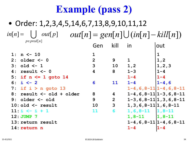|                   | $1: n \le -10$           | 1              |                         |                                 |                                       |
|-------------------|--------------------------|----------------|-------------------------|---------------------------------|---------------------------------------|
| 2:                | older <- 0               | $\overline{2}$ | 9                       | $\mathbf{1}$                    | 1, 2                                  |
|                   | $3: old < -1$            | 3              | 10                      | 1,2                             | 1, 2, 3                               |
| 4:                | result $<-0$             | 4              | 8                       | $1 - 3$                         | $1 - 4$                               |
|                   | 5: if $n \leq 1$ goto 14 |                |                         | $1 - 4$                         | $1 - 4$                               |
|                   | 6: $i \le -2$            | 6              | <b>11</b>               | $1 - 4$                         | $1 - 4, 6$                            |
|                   | 7: if $i > n$ goto 13    |                |                         |                                 | $1-4, 6, 8-11$ $1-4, 6, 8-11$         |
|                   | 8: result <- old + older | 8              | $\overline{\mathbf{4}}$ |                                 | $1 - 4, 6, 8 - 11$ $1 - 3, 6, 8 - 11$ |
|                   | $9:$ older $\leq -$ old  | 9              | $\overline{2}$          |                                 | $1-3, 6, 8-11$   1, 3, 6, 8-11        |
|                   | $10:$ old $\leq$ result  | 10             | $\mathbf{3}$            | $1, 3, 6, 8 - 11 1, 6, 8 - 11$  |                                       |
|                   | $11: i \le i + 1$        | 11             | 6                       | $1, 6, 8-11$ 1, 8-11            |                                       |
|                   | 12: JUMP 7               |                |                         | $1, 8-11$ $1, 8-11$             |                                       |
| 13: return result |                          |                |                         | $1-4, 6, 8-11$   $1-4, 6, 8-11$ |                                       |
|                   | 14: return n             |                |                         | $1 - 4$                         | $1 - 4$                               |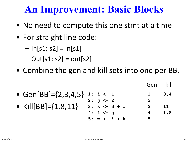#### **An Improvement: Basic Blocks**

- No need to compute this one stmt at a time
- For straight line code:
	- $-$  ln[s1; s2] = in[s1]
	- $-$  Out[s1; s2] = out[s2]
- Combine the gen and kill sets into one per BB.

• Gen[BB]={2,3,4,5} • Kill[BB]={1,8,11} **1: i <- 1 1 8,4 2: j <- 2 2 3: k <- 3 + i 3 11 4: i <- j 4 1,8 5: m <- i + k 5** Gen kill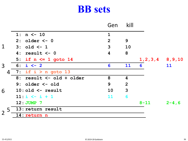#### **BB sets**

|                |                           | Gen          | kill             |                       |            |
|----------------|---------------------------|--------------|------------------|-----------------------|------------|
|                | 1: $n \le -10$            | $\mathbf{1}$ |                  |                       |            |
|                | $2:$ older $<-0$          | 2            | 9                |                       |            |
| $\mathbf 1$    | $3:$ old $\lt-1$          | 3            | <b>10</b>        |                       |            |
|                | $4: result < -0$          | 4            | 8                |                       |            |
|                | 5: if $n \le 1$ goto 14   |              |                  | $1, 2, 3, 4$ 8, 9, 10 |            |
| 3 <sup>1</sup> | $6: i < -2$               | 6            | 11               | 6                     | 11         |
| 4              | 7: if $i > n$ goto 13     |              |                  |                       |            |
|                | 8: result <- old + older  | 8            | $\boldsymbol{4}$ |                       |            |
|                | $9:$ older $\leq -$ old   | 9            | 2                |                       |            |
| 6              | $10:$ old $\leq$ - result | 10           | $\mathbf{3}$     |                       |            |
|                | $11: i \le i + 1$         | 11           | 6                |                       |            |
|                | $12:JUMP$ 7               |              |                  | $8 - 11$              | $2 - 4, 6$ |
|                | 5 13: return result       |              |                  |                       |            |
| $\overline{2}$ | 14: return n              |              |                  |                       |            |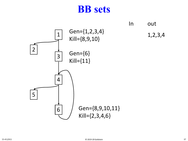#### **BB sets**

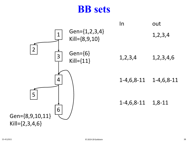#### **BB sets**

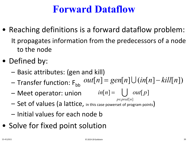#### **Forward Dataflow**

- Reaching definitions is a forward dataflow problem: It propagates information from the predecessors of a node to the node
- Defined by:
	- Basic attributes: (gen and kill)
	- Transfer function: F<sub>bb</sub>  $out[n] = gen[n] \cup (in[n] - kill[n])$
	- $-$  Meet operator: union  $in[n] =$   $\bigcup$   $out[p]$
	- Set of values (a lattice, in this case powerset of program points) *p*∈ *pred*[n]
	- Initial values for each node b
- Solve for fixed point solution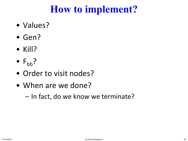## **How to implement?**

- Values?
- Gen?
- Kill?
- $F_{bb}$ ?
- Order to visit nodes?
- When are we done?
	- In fact, do we know we terminate?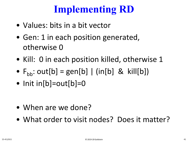# **Implementing RD**

- Values: bits in a bit vector
- Gen: 1 in each position generated, otherwise 0
- Kill: 0 in each position killed, otherwise 1
- $F_{\text{bb}}$ : out[b] = gen[b] | (in[b] & kill[b])
- Init in[b]=out[b]=0

- When are we done?
- What order to visit nodes? Does it matter?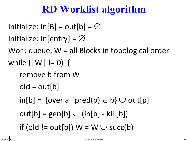# **RD Worklist algorithm**

```
Initialize: in[B] = out[b] = \emptysetInitialize: in[entry] = \varnothingWork queue, W = all Blocks in topological order
while (|W| != 0) {
   remove b from W
   old = out[b]in[b] = \{over all pred(p) \in b\} \cup out[p]out[b] = gen[b] \cup (in[b] - kill[b])if (old != out[b]) W = W \cup succ(b)
```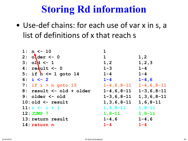| $1: n < -10$                | $\mathbf 1$                   |                |
|-----------------------------|-------------------------------|----------------|
| 2: $ofder < -0$             | 1                             | 1, 2           |
| $3:$ old $\leq -1$          | 1, 2                          | 1, 2, 3        |
| 4: $\texttt{result} \leq 0$ | $1 - 3$                       | $1 - 4$        |
| 5: if $h \leq 1$ goto 14    | $1 - 4$                       | $1 - 4$        |
| 6: $i \le -2$               | $1 - 4$                       | $1 - 4, 6$     |
| 7: if $i > n$ goto 13       | $1-4, 6, 8-11$ $1-4, 6, 8-11$ |                |
| 8: result <- old + older    | $1-4, 6, 8-11$ $1-3, 6, 8-11$ |                |
| 9: $older <  old$           | $1-3, 6, 8-11$ 1, 3, 6, 8-11  |                |
| $10:$ old $\leq$ result     | $1, 3, 6, 8 - 11$             | $1, 6, 8 - 11$ |
| $11: i \le i + 1$           | $1, 6, 8 - 11$                | $1, 8 - 11$    |
| $12:JUMP$ 7                 | $1, 8-11$ $1, 8-11$           |                |
| 13: return result           | $1 - 4, 6$                    | $1 - 4, 6$     |
| 14: return n                | $1 - 4$                       | $1 - 4$        |
|                             |                               |                |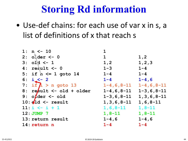| $1: n \le -10$                     | 1                              |            |
|------------------------------------|--------------------------------|------------|
| $2:$ older $<-0$                   | 1                              | 1, 2       |
| $3:$ old $\leq -1$                 | 1, 2                           | 1, 2, 3    |
| $4:$ result $\leq -0$              | $1 - 3$                        | $1 - 4$    |
| 5: if $h \leq 1$ goto 14           | $1 - 4$                        | $1 - 4$    |
| $6: i \leq -2$                     | $1 - 4$                        | $1 - 4, 6$ |
| 7: if $\hbar > n$ goto 13          | $1-4, 6, 8-11$ $1-4, 6, 8-11$  |            |
| $8:$ result $\leq$ old + older     | $1-4, 6, 8-11$ $1-3, 6, 8-11$  |            |
| 9: $o$ <i>l</i> der $\lt$ - $o$ ld | $1-3, 6, 8-11$ 1, 3, 6, 8-11   |            |
| $10: d1d \leftarrow \text{result}$ | $1, 3, 6, 8 - 11$ 1, 6, 8 - 11 |            |
| $11: i \le -i + 1$                 | $1, 6, 8-11$ $1, 8-11$         |            |
| 12: JUMP 7                         | $1, 8-11$ $1, 8-11$            |            |
| 13: return result                  | $1 - 4, 6$                     | $1 - 4, 6$ |
| 14: return n                       | $1 - 4$                        | $1 - 4$    |
|                                    |                                |            |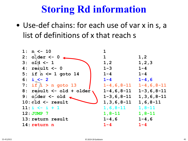| $1: n \le -10$                  |                   |                               |
|---------------------------------|-------------------|-------------------------------|
| $2:$ $0$ $det$ $\leftarrow$ $0$ | $\mathbf 1$       | 1, 2                          |
| $3:$ old $<-1$                  | 1, 2              | 1, 2, 3                       |
| $4:$ result $\leq -0$           | $1 - 3$           | $1 - 4$                       |
| 5: if $h \le 1$ goto 14         | $1 - 4$           | $1 - 4$                       |
| $6: i < -2$                     | $1 - 4$           | $1 - 4, 6$                    |
| 7: if $/i > n$ goto 13          |                   | $1-4, 6, 8-11$ $1-4, 6, 8-11$ |
| 8: result <- old + older        |                   | $1-4, 6, 8-11$ $1-3, 6, 8-11$ |
| 9: older $\leq$ old $\leq$      |                   | $1-3, 6, 8-11$ 1, 3, 6, 8-11  |
| $10: d1d \le -$ result          | $1, 3, 6, 8 - 11$ | $1, 6, 8 - 11$                |
| $11: i \le -i + 1$              | $1, 6, 8 - 11$    | $1,8-11$                      |
| 12: JUMP 7                      | $1, 8 - 11$       | $1, 8 - 11$                   |
| 13: return result               | $1 - 4$ , 6       | $1 - 4, 6$                    |
| 14: return n                    | $1 - 4$           | $1 - 4$                       |
|                                 |                   |                               |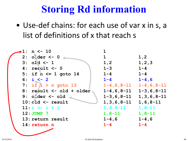| $-1: n < -10$               |                               |                   |
|-----------------------------|-------------------------------|-------------------|
| $2:$ older $<-0$            | $\mathbf 1$                   | 1, 2              |
| $3:$ old $\leq -1$          | 1, 2                          | 1, 2, 3           |
| $4:$ result $\leq -0$       | $1 - 3$                       | $1 - 4$           |
| 5: if $h \le 1$ goto 14     | $1 - 4$                       | $1 - 4$           |
| 6: $i \le -2$               | $1 - 4$                       | $1 - 4, 6$        |
| 7: if $/i > n$ goto 13      | $1-4, 6, 8-11$ $1-4, 6, 8-11$ |                   |
| 8: result <- old + older    | $1-4, 6, 8-11$ $1-3, 6, 8-11$ |                   |
| 9: older <- old             | $1 - 3, 6, 8 - 11$            | $1, 3, 6, 8 - 11$ |
| $10: d1d \leftarrow result$ | $1, 3, 6, 8 - 11$             | $1, 6, 8 - 11$    |
| $11: i \le i + 1$           | $1, 6, 8 - 11$                | $1, 8 - 11$       |
| 12: JUMP 7                  | $1, 8 - 11$                   | $1, 8 - 11$       |
| 13: return result           | $1 - 4$ , 6                   | $1 - 4, 6$        |
| 14: return n                | $1 - 4$                       | $1 - 4$           |
|                             |                               |                   |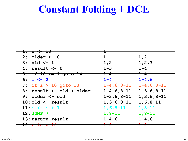#### **Constant Folding + DCE**

| <del>10 -</del><br><del>1: n &lt;</del> |                                  |                                                            |
|-----------------------------------------|----------------------------------|------------------------------------------------------------|
|                                         |                                  |                                                            |
| $2:$ older $\leq -0$                    | 1                                | 1,2                                                        |
| $3: old < -1$                           | 1, 2                             | 1, 2, 3                                                    |
| $4: result < -0$                        | $1 - 3$                          | $1 - 4$                                                    |
| <del>5: if 10 &lt;= 1 goto 14</del>     | $\textcolor{red}{\textbf{1--4}}$ | $\textcolor{red}{\textbf{1--4}}\textcolor{white}{\bullet}$ |
| 6: $i \le -2$                           | $1 - 4$                          | $1 - 4, 6$                                                 |
| 7: if $i > 10$ goto 13                  | $1 - 4$ , 6, 8-11                | $1 - 4, 6, 8 - 11$                                         |
| $8:$ result $\leq -$ old + older        |                                  | $1-4, 6, 8-11$ $1-3, 6, 8-11$                              |
| $9:$ older $\leq -$ old                 | $1 - 3, 6, 8 - 11$               | $1, 3, 6, 8 - 11$                                          |
| $10:$ old $\leq$ result                 | $1, 3, 6, 8 - 11$                | $1, 6, 8 - 11$                                             |
| $11: i \le i + 1$                       | $1, 6, 8 - 11$                   | $1, 8 - 11$                                                |
| $12:JUMP$ 7                             | $1, 8 - 11$                      | $1, 8 - 11$                                                |
| 13: return result                       | $1 - 4$ , 6                      | $1 - 4, 6$                                                 |
| IT BEREINING                            |                                  |                                                            |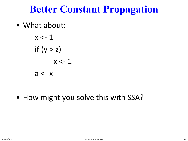#### **Better Constant Propagation**

• What about:

$$
x < -1
$$
\nif  $(y > z)$ 

\n $x < -1$ 

\n $a < -x$ 

• How might you solve this with SSA?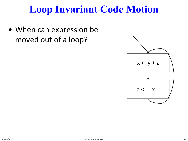#### **Loop Invariant Code Motion**

• When can expression be moved out of a loop?

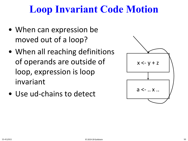## **Loop Invariant Code Motion**

- When can expression be moved out of a loop?
- When all reaching definitions of operands are outside of loop, expression is loop invariant
- Use ud-chains to detect

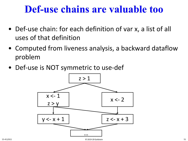#### **Def-use chains are valuable too**

- Def-use chain: for each definition of var x, a list of all uses of that definition
- Computed from liveness analysis, a backward dataflow problem
- Def-use is NOT symmetric to use-def

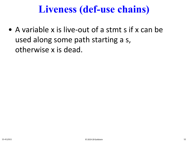## **Liveness (def-use chains)**

• A variable x is live-out of a stmt s if x can be used along some path starting a s, otherwise x is dead.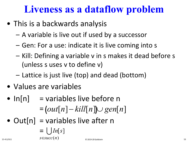## **Liveness as a dataflow problem**

- This is a backwards analysis
	- A variable is live out if used by a successor
	- Gen: For a use: indicate it is live coming into s
	- Kill: Defining a variable v in s makes it dead before s (unless s uses v to define v)
	- Lattice is just live (top) and dead (bottom)
- Values are variables
- $ln[n]$  = variables live before n

$$
= (out[n] - kill[n]) \cup gen[n]
$$

• Out $[n]$  = variables live after n

$$
= \bigcup_{15-411/611} In[s]
$$
\n
$$
S \in succ(n)
$$
\n<sup>53</sup>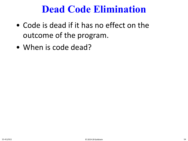#### **Dead Code Elimination**

- Code is dead if it has no effect on the outcome of the program.
- When is code dead?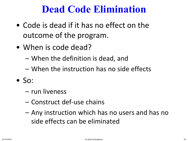#### **Dead Code Elimination**

- Code is dead if it has no effect on the outcome of the program.
- When is code dead?
	- When the definition is dead, and
	- When the instruction has no side effects
- $\bullet$  So:
	- run liveness
	- Construct def-use chains
	- Any instruction which has no users and has no side effects can be eliminated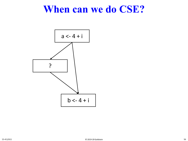#### **When can we do CSE?**

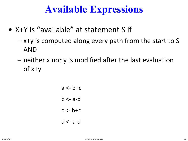#### **Available Expressions**

- X+Y is "available" at statement S if
	- x+y is computed along every path from the start to S AND
	- neither x nor y is modified after the last evaluation of x+y
		- $a \leq -b + c$  $b \leq -a$ -d  $c < -b+c$ d <- a-d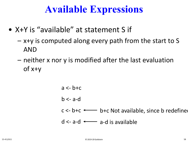#### **Available Expressions**

- X+Y is "available" at statement S if
	- x+y is computed along every path from the start to S AND
	- neither x nor y is modified after the last evaluation of x+y

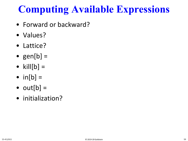# **Computing Available Expressions**

- Forward or backward?
- Values?
- Lattice?
- gen $[b] =$
- kill $[b] =$
- $in[b] =$
- $out[b] =$
- initialization?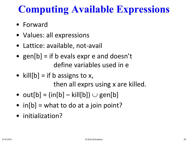# **Computing Available Expressions**

- Forward
- Values: all expressions
- Lattice: available, not-avail
- gen[b] = if b evals expr e and doesn't define variables used in e
- kill $[b] =$  if b assigns to x, then all exprs using x are killed.
- out[b] =  $(in[b] kill[b]) \cup gen[b]$
- $in[b] = what to do at a join point?$
- initialization?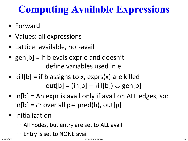# **Computing Available Expressions**

- Forward
- Values: all expressions
- Lattice: available, not-avail
- gen $[b] =$  if b evals expr e and doesn't define variables used in e
- kill $[b]$  = if b assigns to x, exprs(x) are killed  $out[b] = (in[b] - kill[b]) \cup gen[b]$
- in[b] = An expr is avail only if avail on ALL edges, so:  $in[b] = \bigcap over all p \in pred(b), out[p]$
- Initialization
	- All nodes, but entry are set to ALL avail
	- Entry is set to NONE avail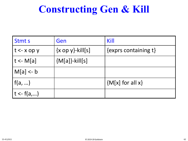# **Constructing Gen & Kill**

| <b>Stmts</b>   | Gen                               | Kill                         |
|----------------|-----------------------------------|------------------------------|
| $t < x$ op y   | $\{x \text{ op } y\}$ -kill $[s]$ | $\{$ exprs containing t $\}$ |
| $ t - M[a] $   | ${M[a]}$ -kill[s]                 |                              |
| $M[a] < -b$    |                                   |                              |
| $\vert$ f(a, ) |                                   | ${M[x]}$ for all x}          |
| $t < -f(a,)$   |                                   |                              |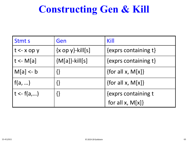## **Constructing Gen & Kill**

| <b>Stmts</b>   | Gen                               | Kill                              |
|----------------|-----------------------------------|-----------------------------------|
| $ t < x$ op y  | $\{x \text{ op } y\}$ -kill $[s]$ | $\{exprs \text{ containing } t\}$ |
| $ t - M[a] $   | ${M[a]}$ -kill[s]                 | $\{exprs \text{ containing } t\}$ |
| M[a] < b       |                                   | {for all x, $M[x]$ }              |
| $\vert$ f(a, ) |                                   | {for all x, $M[x]$ }              |
| $ t - f(a,) $  |                                   | {exprs containing t               |
|                |                                   | for all $x$ , $M[x]$              |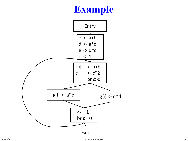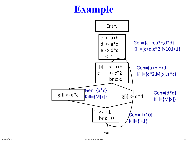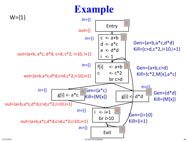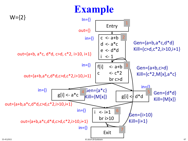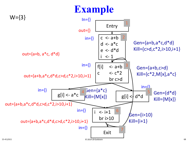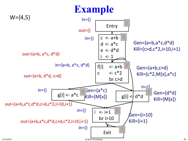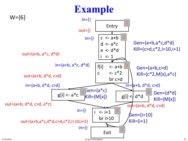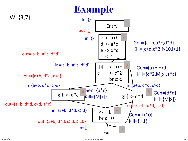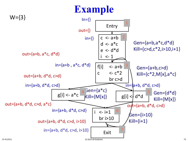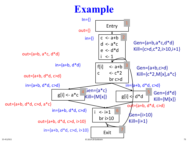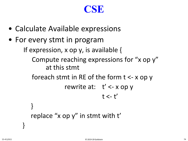## **CSE**

- Calculate Available expressions
- For every stmt in program

If expression, x op y, is available {

Compute reaching expressions for "x op y" at this stmt

foreach stmt in RE of the form t <- x op y

```
rewrite at: t' <- x op y
 t < -t'
```

```
replace "x op y" in stmt with t'
```
}

}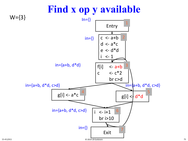

#### 15-411/611 © 2019-20 Goldstein 75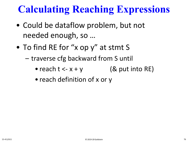# **Calculating Reaching Expressions**

- Could be dataflow problem, but not needed enough, so …
- To find RE for "x op y" at stmt S
	- traverse cfg backward from S until
		- reach  $t < -x + y$  (& put into RE)
		- reach definition of x or y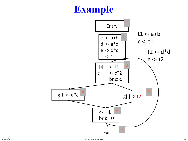## **Example**

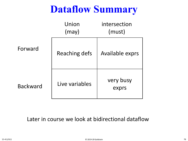# **Dataflow Summary**

|                 | Union<br>(may) | intersection<br>(must) |
|-----------------|----------------|------------------------|
| Forward         | Reaching defs  | Available exprs        |
| <b>Backward</b> | Live variables | very busy<br>exprs     |

Later in course we look at bidirectional dataflow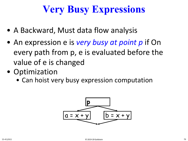# **Very Busy Expressions**

- A Backward, Must data flow analysis
- An expression e is *very busy at point p* if On every path from p, e is evaluated before the value of e is changed
- Optimization
	- Can hoist very busy expression computation

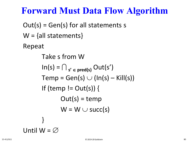### **Forward Must Data Flow Algorithm**

 $Out(s) = Gen(s)$  for all statements s  $W = \{ all statements \}$ Repeat Take s from W  $\ln(s) = \bigcap_{s' \in \text{pred}(s)} \text{Out}(s')$  $Temp = Gen(s) \cup (In(s) - Kill(s))$ If (temp !=  $Out(s)$ ) {  $Out(s) = temp$  $W = W \cup succ(s)$ }

Until 
$$
W = \emptyset
$$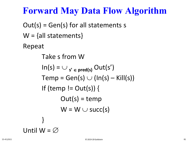## **Forward May Data Flow Algorithm**

 $Out(s) = Gen(s)$  for all statements s  $W = \{ all statements \}$ Repeat Take s from W  $\ln(s) = \cup_{s' \in \text{pred}(s)} \text{Out}(s')$  $Temp = Gen(s) \cup (In(s) - Kill(s))$ If (temp !=  $Out(s)$ ) {  $Out(s) = temp$  $W = W \cup succ(s)$ }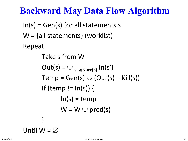## **Backward May Data Flow Algorithm**

 $In(s) = Gen(s)$  for all statements s W = {all statements} (worklist) Repeat

> Take s from W  $Out(s) = \bigcup_{s' \in succ(s)} In(s')$  $Temp = Gen(s) \cup (Out(s) - Kill(s))$ If (temp  $!=$   $ln(s)$ ) {  $ln(s) = temp$  $W = W \cup pred(s)$ }